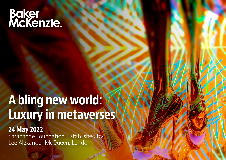# Baker<br>McKenzie.

## A bling new world: Luxury in metaverses

24 May 2022 Sarabande Foundation: Established by Lee Alexander McQueen, London